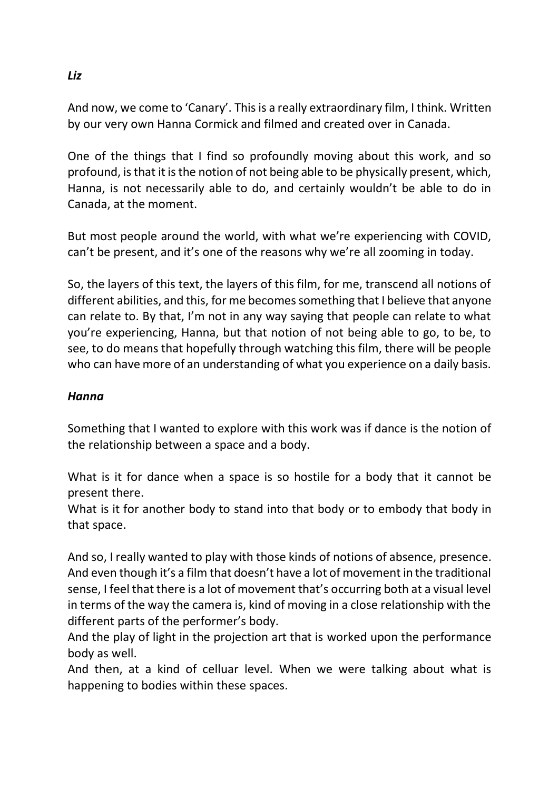And now, we come to 'Canary'. This is a really extraordinary film, I think. Written by our very own Hanna Cormick and filmed and created over in Canada.

One of the things that I find so profoundly moving about this work, and so profound, is that it is the notion of not being able to be physically present, which, Hanna, is not necessarily able to do, and certainly wouldn't be able to do in Canada, at the moment.

But most people around the world, with what we're experiencing with COVID, can't be present, and it's one of the reasons why we're all zooming in today.

So, the layers of this text, the layers of this film, for me, transcend all notions of different abilities, and this, for me becomes something that I believe that anyone can relate to. By that, I'm not in any way saying that people can relate to what you're experiencing, Hanna, but that notion of not being able to go, to be, to see, to do means that hopefully through watching this film, there will be people who can have more of an understanding of what you experience on a daily basis.

## *Hanna*

Something that I wanted to explore with this work was if dance is the notion of the relationship between a space and a body.

What is it for dance when a space is so hostile for a body that it cannot be present there.

What is it for another body to stand into that body or to embody that body in that space.

And so, I really wanted to play with those kinds of notions of absence, presence. And even though it's a film that doesn't have a lot of movement in the traditional sense, I feel that there is a lot of movement that's occurring both at a visual level in terms of the way the camera is, kind of moving in a close relationship with the different parts of the performer's body.

And the play of light in the projection art that is worked upon the performance body as well.

And then, at a kind of celluar level. When we were talking about what is happening to bodies within these spaces.

*Liz*